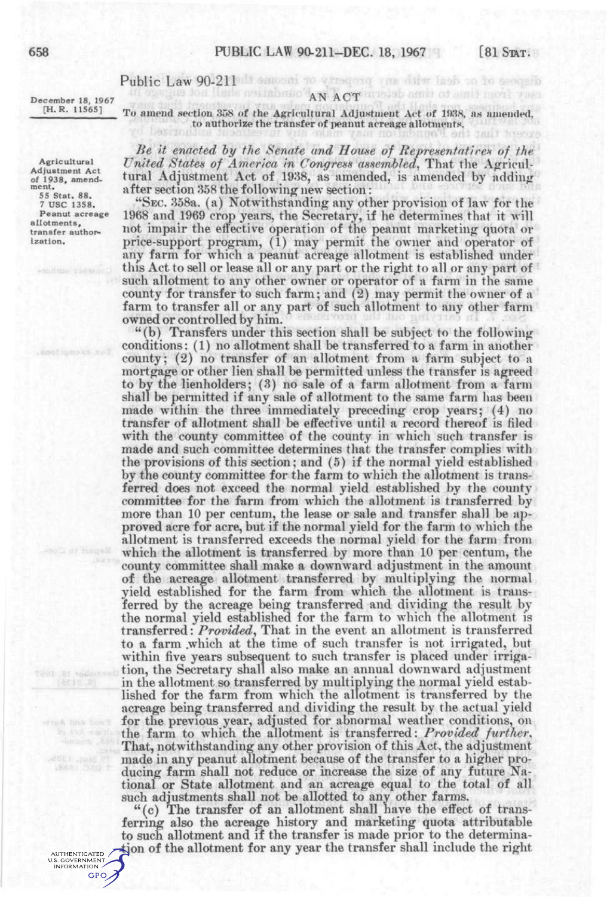## Public Law 90-211 Democratic versions you dilw hash to be seen allo

and mainbours AN ACTUATED amil of ainil movi vara

December 18, 1967 [H. R. 11565]

Agricultural Adjustment Act of 1938, amendment,

55 Stat. 88. 7 USC 1358. Peanut acreage allotments, transfer authorization.

conage 18, 1967

dunk hits boot

AUTHENTICATED U.S. GOVERNMENT GPO

To amend section 358 of the Agricultural Adjustment Act of 193S, as amended, to authorize the transfer of peanut acreage allotments.

*Be it enacted by the Senate and House of Representatires of the United States of America in Congress assembled,* That the Agricultural Adjustment Act of 1938, as amended, is amended by adding after section 858 the following new section:

"SEC. 858a. (a) Notwithstanding any other provision of law for the 1968 and 1969 crop years, the Secretary, if he determines that it will not impair the effective operation of the peanut marketing quota or price-support program, (1) may permit the owner and operator of any farm for which a peanut acreage allotment is established under this Act to sell or lease all or any part or the right to all or any part of such allotment to any other owner or operator of a farm in the same county for transfer to such farm; and (2) may permit the owner of a farm to transfer all or any part of such allotment to any other farm owned or controlled by him.

"(b) Transfers under this section shall be subject to the following conditions: (1) no allotment shall be transferred to a farm in another county; (2) no transfer of an allotment from a farm subject to a mortgage or other lien shall be permitted unless the transfer is agreed to by the lienholders; (8) no sale of a farm allotment from a farm shall be permitted if any sale of allotment to the same farm has been made within the three immediately preceding crop years; (4) no transfer of allotment shall be effective until a record thereof is filed with the county committee of the county in which such transfer is made and such committee determines that the transfer complies with the provisions of this section; and (5) if the normal yield established by the county committee for the farm to which the allotment is transferred does not exceed the normal yield established by the county committee for the farm from which the allotment is transferred by more than 10 per centum, the lease or sale and transfer shall be approved acre for acre, but if the normal yield for the farm to which the allotment is transferred exceeds the normal yield for the farm from which the allotment is transferred by more than 10 per centum, the county committee shall make a downward adjustment in the amount of the acreage allotment transferred by multiplying the normal yield established for the farm from which the allotment is transferred by the acreage being transferred and dividing the result by the normal yield established for the farm to which the allotment is transferred: *Provided^* That in the event an allotment is transferred to a farm .which at the time of such transfer is not irrigated, but within five years subsequent to such transfer is placed under irrigation, the Secretary shall also make an annual downward adjustment in the allotment so transferred by multiplying the normal yield established for the farm from which the allotment is transferred by the acreage being transferred and dividing the result by the actual yield for the previous year, adjusted for abnormal weather conditions, on the farm to which the allotment is transferred: *Provided further.*  That, notwithstanding any other provision of this Act, the adjustment made in any peanut allotment because of the transfer to a higher producing farm shall not reduce or increase the size of any future National or State allotment and an acreage equal to the total of all such adjustments shall not be allotted to any other farms.

"(c) The transfer of an allotment shall have the effect of transferring also the acreage history and marketing quota attributable to such allotment and if the transfer is made prior to the determination of the allotment for any year the transfer shall include the right